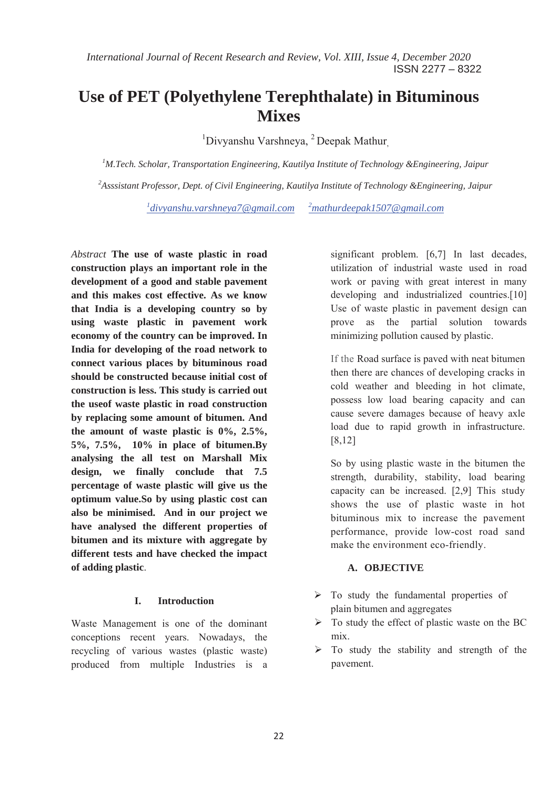# **Use of PET (Polyethylene Terephthalate) in Bituminous Mixes**

<sup>1</sup>Divyanshu Varshneya, <sup>2</sup> Deepak Mathur,

*1 M.Tech. Scholar, Transportation Engineering, Kautilya Institute of Technology &Engineering, Jaipur 2 Asssistant Professor, Dept. of Civil Engineering, Kautilya Institute of Technology &Engineering, Jaipur* 

*1 divyanshu.varshneya7@gmail.com <sup>2</sup> mathurdeepak1507@gmail.com*

*Abstract* **The use of waste plastic in road construction plays an important role in the development of a good and stable pavement and this makes cost effective. As we know that India is a developing country so by using waste plastic in pavement work economy of the country can be improved. In India for developing of the road network to connect various places by bituminous road should be constructed because initial cost of construction is less. This study is carried out the useof waste plastic in road construction by replacing some amount of bitumen. And the amount of waste plastic is 0%, 2.5%, 5%, 7.5%, 10% in place of bitumen.By analysing the all test on Marshall Mix design, we finally conclude that 7.5 percentage of waste plastic will give us the optimum value.So by using plastic cost can also be minimised. And in our project we have analysed the different properties of bitumen and its mixture with aggregate by different tests and have checked the impact of adding plastic**.

### **I. Introduction**

Waste Management is one of the dominant conceptions recent years. Nowadays, the recycling of various wastes (plastic waste) produced from multiple Industries is a significant problem. [6,7] In last decades, utilization of industrial waste used in road work or paving with great interest in many developing and industrialized countries.<sup>[10]</sup> Use of waste plastic in pavement design can prove as the partial solution towards minimizing pollution caused by plastic.

If the Road surface is paved with neat bitumen then there are chances of developing cracks in cold weather and bleeding in hot climate, possess low load bearing capacity and can cause severe damages because of heavy axle load due to rapid growth in infrastructure. [8,12]

So by using plastic waste in the bitumen the strength, durability, stability, load bearing capacity can be increased. [2,9] This study shows the use of plastic waste in hot bituminous mix to increase the pavement performance, provide low-cost road sand make the environment eco-friendly.

# **A. OBJECTIVE**

- $\triangleright$  To study the fundamental properties of plain bitumen and aggregates
- $\triangleright$  To study the effect of plastic waste on the BC mix.
- $\triangleright$  To study the stability and strength of the pavement.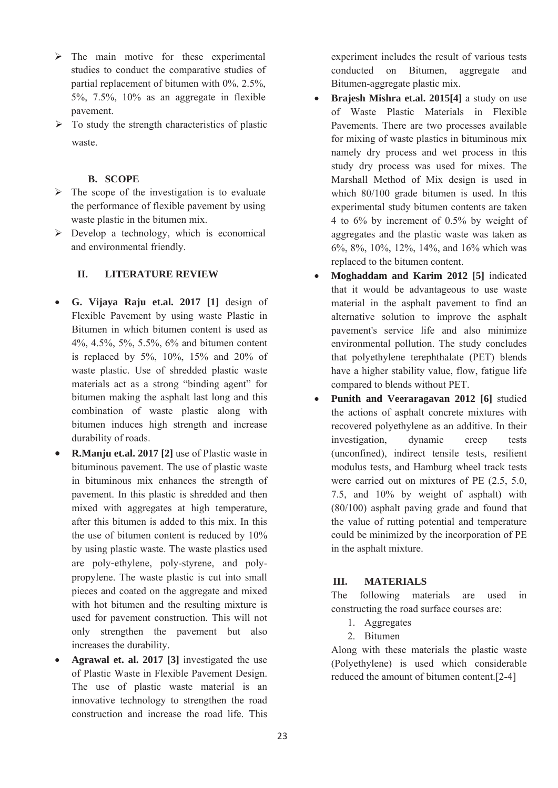- $\triangleright$  The main motive for these experimental studies to conduct the comparative studies of partial replacement of bitumen with 0%, 2.5%, 5%, 7.5%, 10% as an aggregate in flexible pavement.
- $\triangleright$  To study the strength characteristics of plastic waste.

### **B. SCOPE**

- $\triangleright$  The scope of the investigation is to evaluate the performance of flexible pavement by using waste plastic in the bitumen mix.
- $\triangleright$  Develop a technology, which is economical and environmental friendly.

### **II. LITERATURE REVIEW**

- x **G. Vijaya Raju et.al. 2017 [1]** design of Flexible Pavement by using waste Plastic in Bitumen in which bitumen content is used as 4%, 4.5%, 5%, 5.5%, 6% and bitumen content is replaced by 5%, 10%, 15% and 20% of waste plastic. Use of shredded plastic waste materials act as a strong "binding agent" for bitumen making the asphalt last long and this combination of waste plastic along with bitumen induces high strength and increase durability of roads.
- **R.Manju et.al. 2017 [2]** use of Plastic waste in bituminous pavement. The use of plastic waste in bituminous mix enhances the strength of pavement. In this plastic is shredded and then mixed with aggregates at high temperature, after this bitumen is added to this mix. In this the use of bitumen content is reduced by 10% by using plastic waste. The waste plastics used are poly-ethylene, poly-styrene, and polypropylene. The waste plastic is cut into small pieces and coated on the aggregate and mixed with hot bitumen and the resulting mixture is used for pavement construction. This will not only strengthen the pavement but also increases the durability.
- Agrawal et. al. 2017 [3] investigated the use of Plastic Waste in Flexible Pavement Design. The use of plastic waste material is an innovative technology to strengthen the road construction and increase the road life. This

experiment includes the result of various tests conducted on Bitumen, aggregate and Bitumen-aggregate plastic mix.

- x **Brajesh Mishra et.al. 2015[4]** a study on use of Waste Plastic Materials in Flexible Pavements. There are two processes available for mixing of waste plastics in bituminous mix namely dry process and wet process in this study dry process was used for mixes. The Marshall Method of Mix design is used in which 80/100 grade bitumen is used. In this experimental study bitumen contents are taken 4 to 6% by increment of 0.5% by weight of aggregates and the plastic waste was taken as 6%, 8%, 10%, 12%, 14%, and 16% which was replaced to the bitumen content.
- x **Moghaddam and Karim 2012 [5]** indicated that it would be advantageous to use waste material in the asphalt pavement to find an alternative solution to improve the asphalt pavement's service life and also minimize environmental pollution. The study concludes that polyethylene terephthalate (PET) blends have a higher stability value, flow, fatigue life compared to blends without PET.
- Punith and Veeraragavan 2012 [6] studied the actions of asphalt concrete mixtures with recovered polyethylene as an additive. In their investigation, dynamic creep tests (unconfined), indirect tensile tests, resilient modulus tests, and Hamburg wheel track tests were carried out on mixtures of PE (2.5, 5.0, 7.5, and 10% by weight of asphalt) with (80/100) asphalt paving grade and found that the value of rutting potential and temperature could be minimized by the incorporation of PE in the asphalt mixture.

# **III. MATERIALS**

The following materials are used in constructing the road surface courses are:

- 1. Aggregates
- 2. Bitumen

Along with these materials the plastic waste (Polyethylene) is used which considerable reduced the amount of bitumen content.[2-4]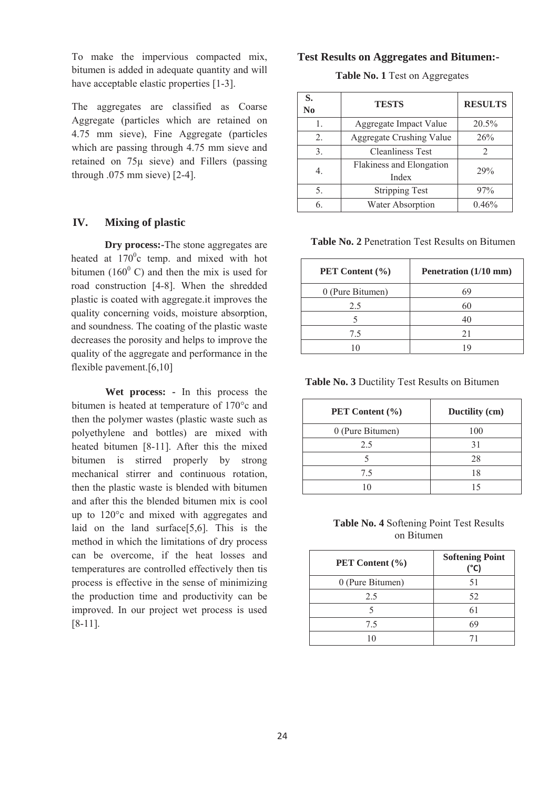To make the impervious compacted mix, bitumen is added in adequate quantity and will have acceptable elastic properties [1-3].

The aggregates are classified as Coarse Aggregate (particles which are retained on 4.75 mm sieve), Fine Aggregate (particles which are passing through 4.75 mm sieve and retained on 75μ sieve) and Fillers (passing through .075 mm sieve) [2-4].

#### **IV. Mixing of plastic**

**Dry process:-**The stone aggregates are heated at  $170^{\circ}$ c temp. and mixed with hot bitumen (160 $^{\circ}$  C) and then the mix is used for road construction [4-8]. When the shredded plastic is coated with aggregate.it improves the quality concerning voids, moisture absorption, and soundness. The coating of the plastic waste decreases the porosity and helps to improve the quality of the aggregate and performance in the flexible pavement.[6,10]

**Wet process: -** In this process the bitumen is heated at temperature of 170°c and then the polymer wastes (plastic waste such as polyethylene and bottles) are mixed with heated bitumen [8-11]. After this the mixed bitumen is stirred properly by strong mechanical stirrer and continuous rotation, then the plastic waste is blended with bitumen and after this the blended bitumen mix is cool up to 120°c and mixed with aggregates and laid on the land surface[5,6]. This is the method in which the limitations of dry process can be overcome, if the heat losses and temperatures are controlled effectively then tis process is effective in the sense of minimizing the production time and productivity can be improved. In our project wet process is used [8-11].

#### **Test Results on Aggregates and Bitumen:-**

**Table No. 1** Test on Aggregates

| S.<br>N <sub>0</sub> | <b>TESTS</b>                      | <b>RESULTS</b>              |
|----------------------|-----------------------------------|-----------------------------|
|                      | Aggregate Impact Value            | 20.5%                       |
| $\overline{2}$ .     | <b>Aggregate Crushing Value</b>   | 26%                         |
| 3.                   | <b>Cleanliness Test</b>           | $\mathcal{D}_{\mathcal{L}}$ |
|                      | Flakiness and Elongation<br>Index | 29%                         |
| 5.                   | <b>Stripping Test</b>             | 97%                         |
|                      | Water Absorption                  | 0.46%                       |

**Table No. 2** Penetration Test Results on Bitumen

| PET Content (%)  | Penetration (1/10 mm) |
|------------------|-----------------------|
| 0 (Pure Bitumen) | 69                    |
| 2.5              | 60                    |
|                  | 40                    |
| 7.5              | 21                    |
|                  | 19                    |

**Table No. 3** Ductility Test Results on Bitumen

| PET Content (%)  | Ductility (cm) |
|------------------|----------------|
| 0 (Pure Bitumen) | 100            |
| 2.5              | 31             |
|                  | 28             |
| 7.5              | 18             |
|                  |                |

**Table No. 4** Softening Point Test Results on Bitumen

| PET Content (%)  | <b>Softening Point</b><br>$(^{\circ}C)$ |
|------------------|-----------------------------------------|
| 0 (Pure Bitumen) | 51                                      |
| 2.5              | 52                                      |
|                  | 61                                      |
| 7.5              | 69                                      |
|                  |                                         |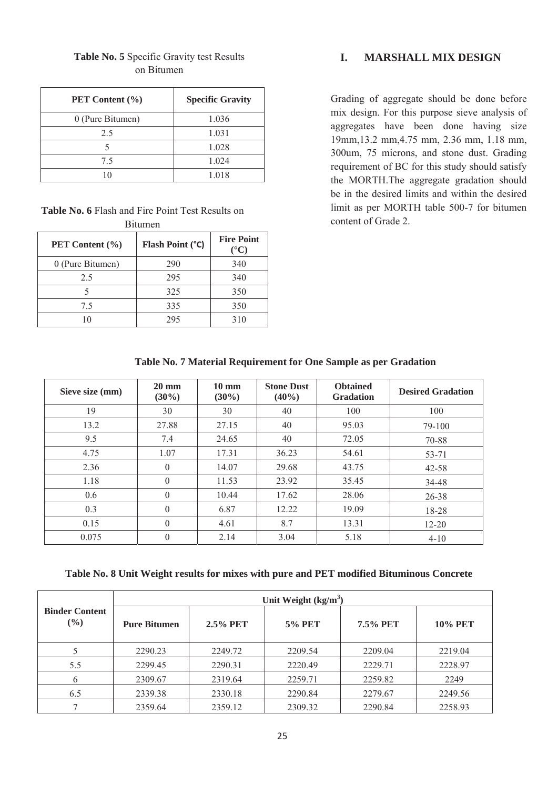| <b>PET</b> Content $(\% )$ | <b>Specific Gravity</b> |
|----------------------------|-------------------------|
| 0 (Pure Bitumen)           | 1.036                   |
| 2.5                        | 1.031                   |
|                            | 1.028                   |
| 75                         | 1.024                   |
|                            | 1.018                   |

## **Table No. 5** Specific Gravity test Results on Bitumen

**Table No. 6** Flash and Fire Point Test Results on Bitumen

| PET Content (%)  | Flash Point (°C) | <b>Fire Point</b><br>$({}^{\circ}{\bf C})$ |
|------------------|------------------|--------------------------------------------|
| 0 (Pure Bitumen) | 290              | 340                                        |
| 2.5              | 295              | 340                                        |
|                  | 325              | 350                                        |
| 75               | 335              | 350                                        |
|                  | 295              | 310                                        |

# **I. MARSHALL MIX DESIGN**

Grading of aggregate should be done before mix design. For this purpose sieve analysis of aggregates have been done having size 19mm,13.2 mm,4.75 mm, 2.36 mm, 1.18 mm, 300um, 75 microns, and stone dust. Grading requirement of BC for this study should satisfy the MORTH.The aggregate gradation should be in the desired limits and within the desired limit as per MORTH table 500-7 for bitumen content of Grade 2.

| Table No. 7 Material Requirement for One Sample as per Gradation |                 |            |                 |  |  |  |
|------------------------------------------------------------------|-----------------|------------|-----------------|--|--|--|
| $20 \text{ mm}$                                                  | $10 \text{ mm}$ | Stone Dust | <b>Obtained</b> |  |  |  |

| Sieve size (mm) | $20 \text{ mm}$<br>$(30\%)$ | $10 \text{ mm}$<br>$(30\%)$ | <b>Stone Dust</b><br>$(40\%)$ | <b>Obtained</b><br><b>Gradation</b> | <b>Desired Gradation</b> |
|-----------------|-----------------------------|-----------------------------|-------------------------------|-------------------------------------|--------------------------|
| 19              | 30                          | 30                          | 40                            | 100                                 | 100                      |
| 13.2            | 27.88                       | 27.15                       | 40                            | 95.03                               | 79-100                   |
| 9.5             | 7.4                         | 24.65                       | 40                            | 72.05                               | 70-88                    |
| 4.75            | 1.07                        | 17.31                       | 36.23                         | 54.61                               | 53-71                    |
| 2.36            | $\theta$                    | 14.07                       | 29.68                         | 43.75                               | $42 - 58$                |
| 1.18            | $\theta$                    | 11.53                       | 23.92                         | 35.45                               | 34-48                    |
| 0.6             | $\theta$                    | 10.44                       | 17.62                         | 28.06                               | 26-38                    |
| 0.3             | $\theta$                    | 6.87                        | 12.22                         | 19.09                               | 18-28                    |
| 0.15            | $\theta$                    | 4.61                        | 8.7                           | 13.31                               | $12 - 20$                |
| 0.075           | $\Omega$                    | 2.14                        | 3.04                          | 5.18                                | $4 - 10$                 |

**Table No. 8 Unit Weight results for mixes with pure and PET modified Bituminous Concrete**

|                                 | Unit Weight $(kg/m3)$ |          |               |                 |                |  |
|---------------------------------|-----------------------|----------|---------------|-----------------|----------------|--|
| <b>Binder Content</b><br>$(\%)$ | <b>Pure Bitumen</b>   | 2.5% PET | <b>5% PET</b> | <b>7.5% PET</b> | <b>10% PET</b> |  |
|                                 | 2290.23               | 2249.72  | 2209.54       | 2209.04         | 2219.04        |  |
| 5.5                             | 2299.45               | 2290.31  | 2220.49       | 2229.71         | 2228.97        |  |
| 6                               | 2309.67               | 2319.64  | 2259.71       | 2259.82         | 2249           |  |
| 6.5                             | 2339.38               | 2330.18  | 2290.84       | 2279.67         | 2249.56        |  |
|                                 | 2359.64               | 2359.12  | 2309.32       | 2290.84         | 2258.93        |  |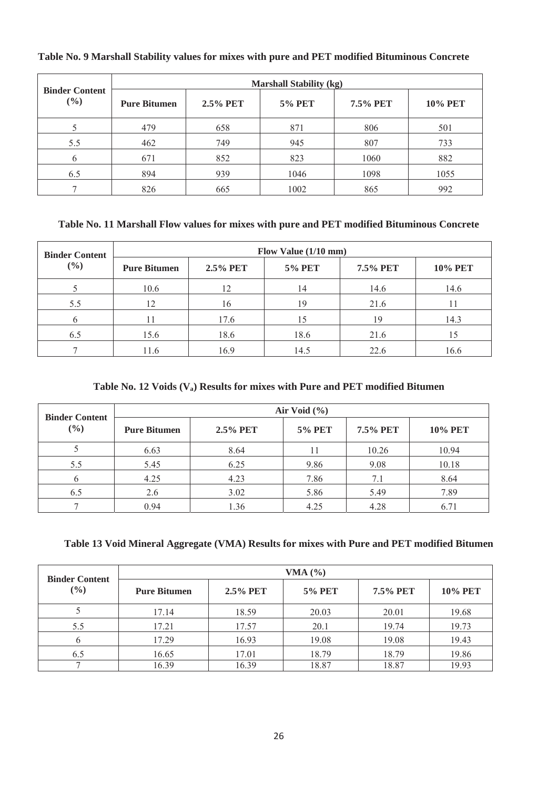| <b>Binder Content</b> | <b>Marshall Stability (kg)</b> |                 |               |          |                |  |
|-----------------------|--------------------------------|-----------------|---------------|----------|----------------|--|
| (%)                   | <b>Pure Bitumen</b>            | <b>2.5% PET</b> | <b>5% PET</b> | 7.5% PET | <b>10% PET</b> |  |
|                       | 479                            | 658             | 871           | 806      | 501            |  |
| 5.5                   | 462                            | 749             | 945           | 807      | 733            |  |
| 6                     | 671                            | 852             | 823           | 1060     | 882            |  |
| 6.5                   | 894                            | 939             | 1046          | 1098     | 1055           |  |
|                       | 826                            | 665             | 1002          | 865      | 992            |  |

# **Table No. 9 Marshall Stability values for mixes with pure and PET modified Bituminous Concrete**

### **Table No. 11 Marshall Flow values for mixes with pure and PET modified Bituminous Concrete**

| <b>Binder Content</b> | Flow Value $(1/10$ mm) |          |               |          |                |
|-----------------------|------------------------|----------|---------------|----------|----------------|
| $(\%)$                | <b>Pure Bitumen</b>    | 2.5% PET | <b>5% PET</b> | 7.5% PET | <b>10% PET</b> |
|                       | 10.6                   | 12       | 14            | 14.6     | 14.6           |
| 5.5                   | 12                     | 16       | 19            | 21.6     |                |
|                       |                        | 17.6     |               | 19       | 14.3           |
| 6.5                   | 15.6                   | 18.6     | 18.6          | 21.6     | 15             |
|                       | 11.6                   | 16.9     | 14.5          | 22.6     | 16.6           |

### Table No. 12 Voids (V<sub>a</sub>) Results for mixes with Pure and PET modified Bitumen

| <b>Binder Content</b><br>$(\%)$ | Air Void $(\% )$    |             |               |          |                |  |
|---------------------------------|---------------------|-------------|---------------|----------|----------------|--|
|                                 | <b>Pure Bitumen</b> | $2.5\%$ PET | <b>5% PET</b> | 7.5% PET | <b>10% PET</b> |  |
|                                 | 6.63                | 8.64        | 11            | 10.26    | 10.94          |  |
| 5.5                             | 5.45                | 6.25        | 9.86          | 9.08     | 10.18          |  |
| 6                               | 4.25                | 4.23        | 7.86          | 7.1      | 8.64           |  |
| 6.5                             | 2.6                 | 3.02        | 5.86          | 5.49     | 7.89           |  |
|                                 | 0.94                | 1.36        | 4.25          | 4.28     | 6.71           |  |

# **Table 13 Void Mineral Aggregate (VMA) Results for mixes with Pure and PET modified Bitumen**

| <b>Binder Content</b><br>$(\%)$ | VMA $(%)$           |          |               |          |                |  |
|---------------------------------|---------------------|----------|---------------|----------|----------------|--|
|                                 | <b>Pure Bitumen</b> | 2.5% PET | <b>5% PET</b> | 7.5% PET | <b>10% PET</b> |  |
|                                 | 17.14               | 18.59    | 20.03         | 20.01    | 19.68          |  |
| 5.5                             | 17.21               | 17.57    | 20.1          | 19.74    | 19.73          |  |
| $\mathfrak b$                   | 17.29               | 16.93    | 19.08         | 19.08    | 19.43          |  |
| 6.5                             | 16.65               | 17.01    | 18.79         | 18.79    | 19.86          |  |
|                                 | 16.39               | 16.39    | 18.87         | 18.87    | 19.93          |  |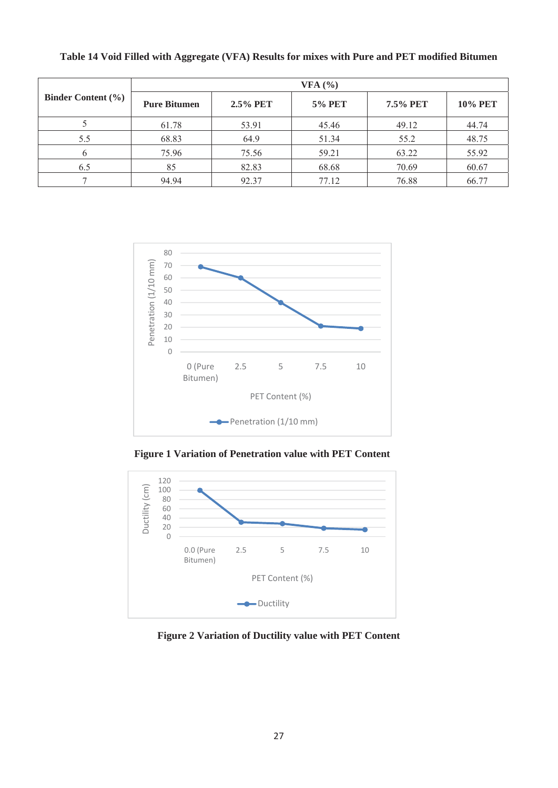| Binder Content $(\% )$ | VFA (%)             |          |               |          |                |  |
|------------------------|---------------------|----------|---------------|----------|----------------|--|
|                        | <b>Pure Bitumen</b> | 2.5% PET | <b>5% PET</b> | 7.5% PET | <b>10% PET</b> |  |
|                        | 61.78               | 53.91    | 45.46         | 49.12    | 44.74          |  |
| 5.5                    | 68.83               | 64.9     | 51.34         | 55.2     | 48.75          |  |
|                        | 75.96               | 75.56    | 59.21         | 63.22    | 55.92          |  |
| 6.5                    | 85                  | 82.83    | 68.68         | 70.69    | 60.67          |  |
|                        | 94.94               | 92.37    | 77.12         | 76.88    | 66.77          |  |

**Table 14 Void Filled with Aggregate (VFA) Results for mixes with Pure and PET modified Bitumen** 



**Figure 1 Variation of Penetration value with PET Content** 



**Figure 2 Variation of Ductility value with PET Content**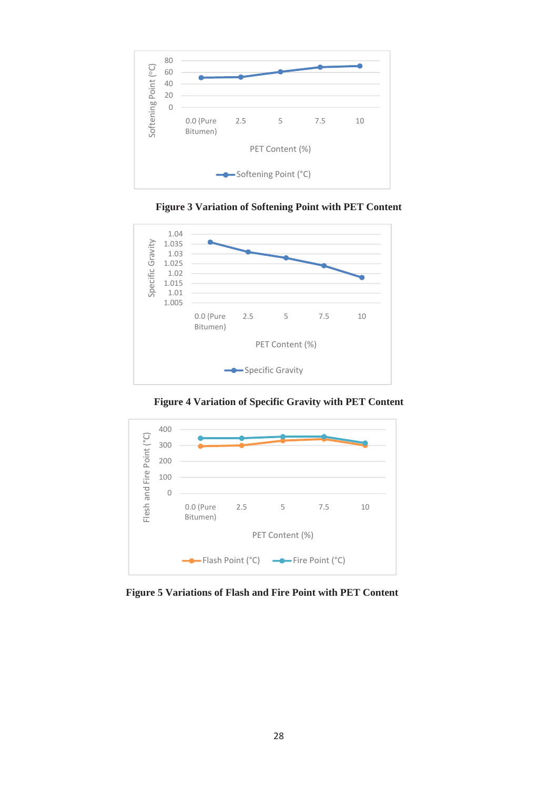

**Figure 3 Variation of Softening Point with PET Content** 



**Figure 4 Variation of Specific Gravity with PET Content** 

![](_page_6_Figure_4.jpeg)

**Figure 5 Variations of Flash and Fire Point with PET Content**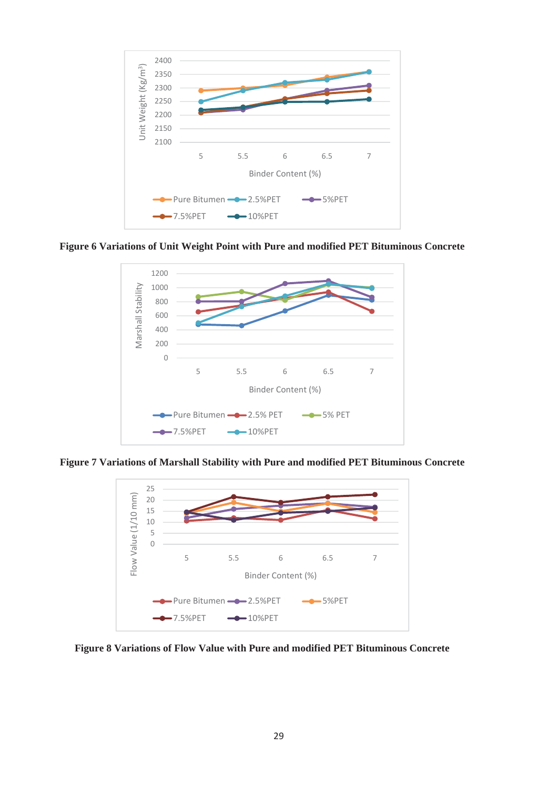![](_page_7_Figure_0.jpeg)

**Figure 6 Variations of Unit Weight Point with Pure and modified PET Bituminous Concrete**

![](_page_7_Figure_2.jpeg)

**Figure 7 Variations of Marshall Stability with Pure and modified PET Bituminous Concrete**

![](_page_7_Figure_4.jpeg)

**Figure 8 Variations of Flow Value with Pure and modified PET Bituminous Concrete**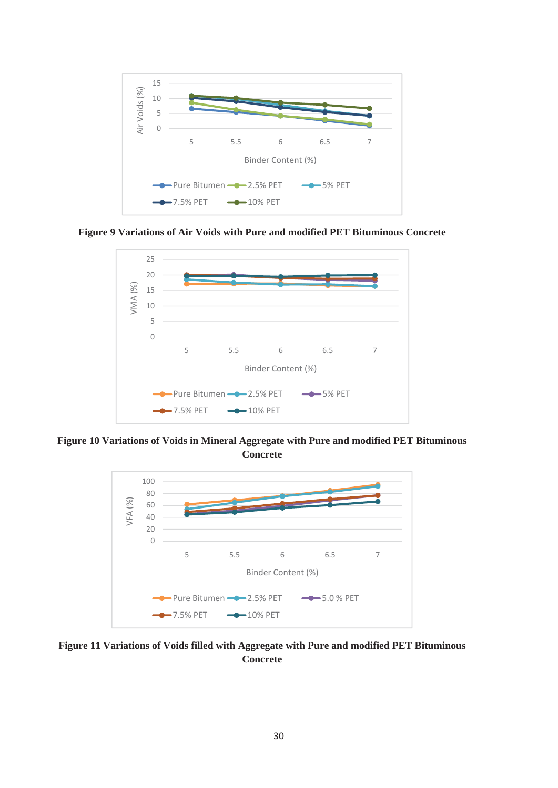![](_page_8_Figure_0.jpeg)

**Figure 9 Variations of Air Voids with Pure and modified PET Bituminous Concrete**

![](_page_8_Figure_2.jpeg)

**Figure 10 Variations of Voids in Mineral Aggregate with Pure and modified PET Bituminous Concrete**

![](_page_8_Figure_4.jpeg)

**Figure 11 Variations of Voids filled with Aggregate with Pure and modified PET Bituminous Concrete**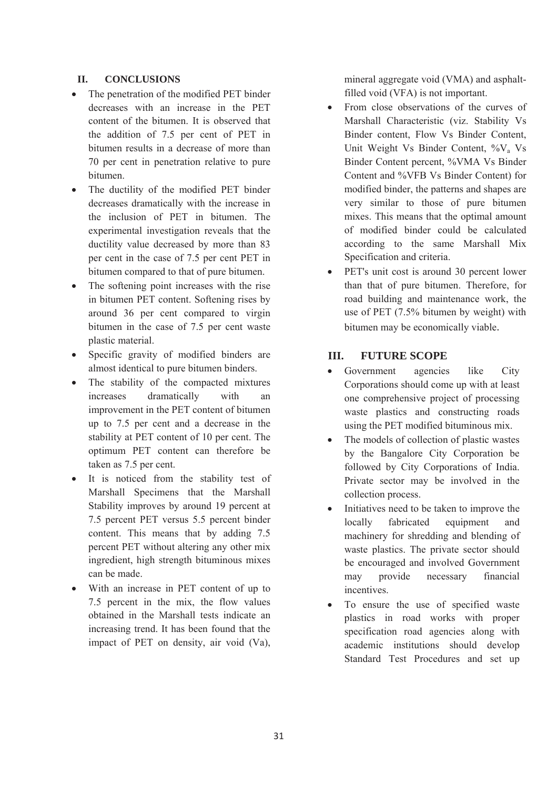### **II. CONCLUSIONS**

- The penetration of the modified PET binder decreases with an increase in the PET content of the bitumen. It is observed that the addition of 7.5 per cent of PET in bitumen results in a decrease of more than 70 per cent in penetration relative to pure bitumen.
- The ductility of the modified PET binder decreases dramatically with the increase in the inclusion of PET in bitumen. The experimental investigation reveals that the ductility value decreased by more than 83 per cent in the case of 7.5 per cent PET in bitumen compared to that of pure bitumen.
- The softening point increases with the rise in bitumen PET content. Softening rises by around 36 per cent compared to virgin bitumen in the case of 7.5 per cent waste plastic material.
- Specific gravity of modified binders are almost identical to pure bitumen binders.
- The stability of the compacted mixtures increases dramatically with an improvement in the PET content of bitumen up to 7.5 per cent and a decrease in the stability at PET content of 10 per cent. The optimum PET content can therefore be taken as 7.5 per cent.
- It is noticed from the stability test of Marshall Specimens that the Marshall Stability improves by around 19 percent at 7.5 percent PET versus 5.5 percent binder content. This means that by adding 7.5 percent PET without altering any other mix ingredient, high strength bituminous mixes can be made.
- With an increase in PET content of up to 7.5 percent in the mix, the flow values obtained in the Marshall tests indicate an increasing trend. It has been found that the impact of PET on density, air void (Va),

mineral aggregate void (VMA) and asphaltfilled void (VFA) is not important.

- From close observations of the curves of Marshall Characteristic (viz. Stability Vs Binder content, Flow Vs Binder Content, Unit Weight Vs Binder Content, %V<sub>a</sub> Vs Binder Content percent, %VMA Vs Binder Content and %VFB Vs Binder Content) for modified binder, the patterns and shapes are very similar to those of pure bitumen mixes. This means that the optimal amount of modified binder could be calculated according to the same Marshall Mix Specification and criteria.
- PET's unit cost is around 30 percent lower than that of pure bitumen. Therefore, for road building and maintenance work, the use of PET (7.5% bitumen by weight) with bitumen may be economically viable.

# **III. FUTURE SCOPE**

- Government agencies like City Corporations should come up with at least one comprehensive project of processing waste plastics and constructing roads using the PET modified bituminous mix.
- The models of collection of plastic wastes by the Bangalore City Corporation be followed by City Corporations of India. Private sector may be involved in the collection process.
- Initiatives need to be taken to improve the locally fabricated equipment and machinery for shredding and blending of waste plastics. The private sector should be encouraged and involved Government may provide necessary financial incentives.
- To ensure the use of specified waste plastics in road works with proper specification road agencies along with academic institutions should develop Standard Test Procedures and set up